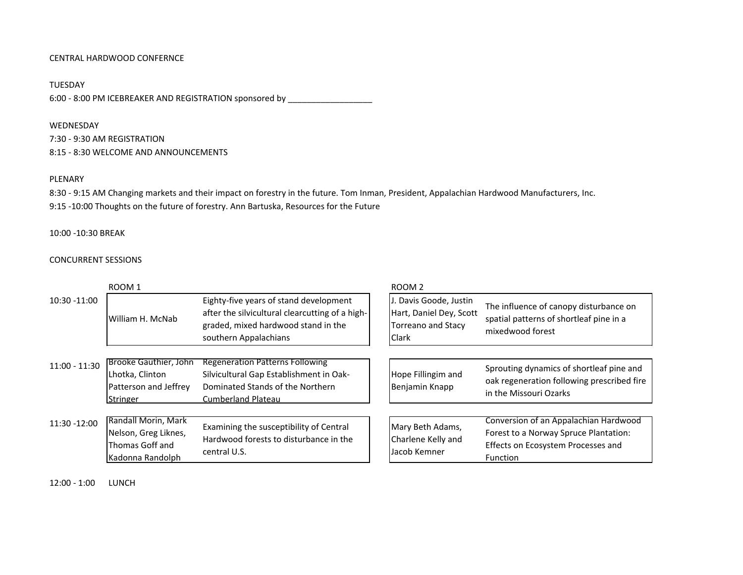# CENTRAL HARDWOOD CONFERNCE

TUESDAY 6:00 - 8:00 PM ICEBREAKER AND REGISTRATION sponsored by \_\_\_\_\_\_\_\_\_\_\_\_\_\_\_\_\_\_\_\_\_\_\_\_

#### WEDNESDAY

7:30 ‐ 9:30 AM REGISTRATION 8:15 ‐ 8:30 WELCOME AND ANNOUNCEMENTS

#### PLENARY

8:30 ‐ 9:15 AM Changing markets and their impact on forestry in the future. Tom Inman, President, Appalachian Hardwood Manufacturers, Inc. 9:15 ‐10:00 Thoughts on the future of forestry. Ann Bartuska, Resources for the Future

### 10:00 ‐10:30 BREAK

## CONCURRENT SESSIONS

|                 | ROOM <sub>1</sub>                                                                    |                                                                                                                                                           | ROOM <sub>2</sub>                                                                      |                                                                                                                                  |  |
|-----------------|--------------------------------------------------------------------------------------|-----------------------------------------------------------------------------------------------------------------------------------------------------------|----------------------------------------------------------------------------------------|----------------------------------------------------------------------------------------------------------------------------------|--|
| 10:30 -11:00    | William H. McNab                                                                     | Eighty-five years of stand development<br>after the silvicultural clearcutting of a high-<br>graded, mixed hardwood stand in the<br>southern Appalachians | . Davis Goode, Justin<br>Hart, Daniel Dey, Scott<br><b>Torreano and Stacy</b><br>Clark | The influence of canopy disturbance on<br>spatial patterns of shortleaf pine in a<br>mixedwood forest                            |  |
| $11:00 - 11:30$ | <b>Brooke Gauthier, John</b><br>Lhotka, Clinton<br>Patterson and Jeffrey<br>Stringer | Regeneration Patterns Following<br>Silvicultural Gap Establishment in Oak-<br>Dominated Stands of the Northern<br><b>Cumberland Plateau</b>               | Hope Fillingim and<br>Benjamin Knapp                                                   | Sprouting dynamics of shortleaf pine and<br>oak regeneration following prescribed fire<br>in the Missouri Ozarks                 |  |
| 11:30 -12:00    | Randall Morin, Mark<br>Nelson, Greg Liknes,<br>Thomas Goff and<br>Kadonna Randolph   | Examining the susceptibility of Central<br>Hardwood forests to disturbance in the<br>central U.S.                                                         | Mary Beth Adams,<br>Charlene Kelly and<br>Jacob Kemner                                 | Conversion of an Appalachian Hardwood<br>Forest to a Norway Spruce Plantation:<br>Effects on Ecosystem Processes and<br>Function |  |

12:00 ‐ 1:00 LUNCH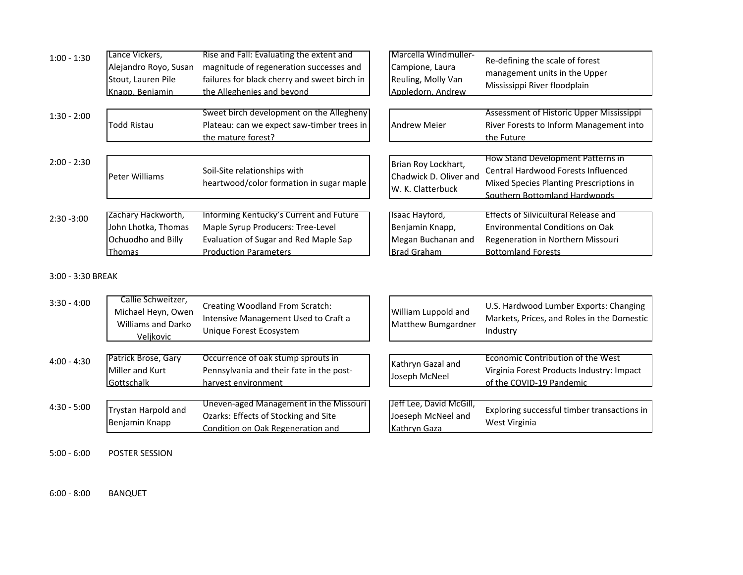| $1:00 - 1:30$ | Lance Vickers,<br>Alejandro Royo, Susan<br>Stout, Lauren Pile<br>Knapp, Benjamin | Rise and Fall: Evaluating the extent and<br>magnitude of regeneration successes and<br>failures for black cherry and sweet birch in<br>the Alleghenies and beyond | Marcella Windmuller-<br>Campione, Laura<br>Reuling, Molly Van<br>Appledorn, Andrew | Re-defining the scale of forest<br>management units in the Upper<br>Mississippi River floodplain                                                            |
|---------------|----------------------------------------------------------------------------------|-------------------------------------------------------------------------------------------------------------------------------------------------------------------|------------------------------------------------------------------------------------|-------------------------------------------------------------------------------------------------------------------------------------------------------------|
| $1:30 - 2:00$ | Todd Ristau                                                                      | Sweet birch development on the Allegheny<br>Plateau: can we expect saw-timber trees in<br>the mature forest?                                                      | <b>Andrew Meier</b>                                                                | Assessment of Historic Upper Mississippi<br>River Forests to Inform Management into<br>the Future                                                           |
| $2:00 - 2:30$ | Peter Williams                                                                   | Soil-Site relationships with<br>heartwood/color formation in sugar maple                                                                                          | Brian Roy Lockhart,<br>Chadwick D. Oliver and<br>W. K. Clatterbuck                 | How Stand Development Patterns in<br><b>Central Hardwood Forests Influenced</b><br>Mixed Species Planting Prescriptions in<br>Southern Bottomland Hardwoods |
| $2:30 - 3:00$ | Zachary Hackworth,<br>John Lhotka, Thomas<br>Ochuodho and Billy<br><b>Thomas</b> | Informing Kentucky's Current and Future<br>Maple Syrup Producers: Tree-Level<br>Evaluation of Sugar and Red Maple Sap<br><b>Production Parameters</b>             | Isaac Hayford,<br>Benjamin Knapp,<br>Megan Buchanan and<br><b>Brad Graham</b>      | Effects of Silvicultural Release and<br>Environmental Conditions on Oak<br>Regeneration in Northern Missouri<br><b>Bottomland Forests</b>                   |

### 3:00 ‐ 3:30 BREAK

| $3:30 - 4:00$ | Callie Schweitzer,<br>Michael Heyn, Owen<br><b>Williams and Darko</b><br>Veljkovic | Creating Woodland From Scratch:<br>Intensive Management Used to Craft a<br>Unique Forest Ecosystem                  | William Luppold and<br>Matthew Bumgardner                     | U.S. Hardwood Lumber Exports: Changing<br>Markets, Prices, and Roles in the Domestic<br>Industry           |
|---------------|------------------------------------------------------------------------------------|---------------------------------------------------------------------------------------------------------------------|---------------------------------------------------------------|------------------------------------------------------------------------------------------------------------|
| $4:00 - 4:30$ | Patrick Brose, Gary<br>Miller and Kurt<br>Gottschalk                               | Occurrence of oak stump sprouts in<br>Pennsylvania and their fate in the post-<br>harvest environment               | Kathryn Gazal and<br>Joseph McNeel                            | Economic Contribution of the West<br>Virginia Forest Products Industry: Impact<br>of the COVID-19 Pandemic |
| $4:30 - 5:00$ | Trystan Harpold and<br>Benjamin Knapp                                              | Uneven-aged Management in the Missouri<br>Ozarks: Effects of Stocking and Site<br>Condition on Oak Regeneration and | Jeff Lee, David McGill,<br>Joeseph McNeel and<br>Kathryn Gaza | Exploring successful timber transactions in<br>West Virginia                                               |

 $5:00 - 6:00$ R SESSION

6:00 ‐ 8:00BANQUET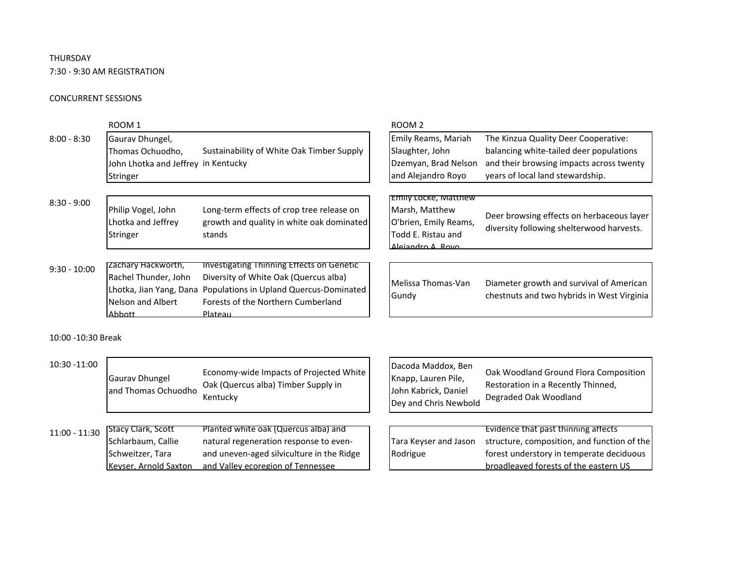# THURSDAY

7:30 ‐ 9:30 AM REGISTRATION

## CONCURRENT SESSIONS

|                | ROOM 1                              |                                           | ROOM <sub>2</sub>           |                                                                                        |
|----------------|-------------------------------------|-------------------------------------------|-----------------------------|----------------------------------------------------------------------------------------|
| $8:00 - 8:30$  | Gaurav Dhungel,                     |                                           | Emily Reams, Mariah         | The Kinzua Quality Deer Cooperative:                                                   |
|                | Thomas Ochuodho,                    | Sustainability of White Oak Timber Supply | Slaughter, John             | balancing white-tailed deer populations                                                |
|                | John Lhotka and Jeffrey in Kentucky |                                           | Dzemyan, Brad Nelson        | and their browsing impacts across twenty                                               |
|                | Stringer                            |                                           | and Alejandro Royo          | years of local land stewardship.                                                       |
|                |                                     |                                           | Emily Locke, Matthew        |                                                                                        |
| $8:30 - 9:00$  | Philip Vogel, John                  | Long-term effects of crop tree release on | Marsh, Matthew              |                                                                                        |
|                | Lhotka and Jeffrey                  | growth and quality in white oak dominated | O'brien, Emily Reams,       | Deer browsing effects on herbaceous layer<br>diversity following shelterwood harvests. |
|                | Stringer                            | stands                                    | Todd E. Ristau and          |                                                                                        |
|                |                                     |                                           | Alejandro A Rovo            |                                                                                        |
| $9:30 - 10:00$ | zachary Hackworth,                  | Investigating Thinning Effects on Genetic |                             |                                                                                        |
|                | Rachel Thunder, John                | Diversity of White Oak (Quercus alba)     | Melissa Thomas-Van<br>Gundy | Diameter growth and survival of American<br>chestnuts and two hybrids in West Virginia |
|                | Lhotka, Jian Yang, Dana             | Populations in Upland Quercus-Dominated   |                             |                                                                                        |
|                | Nelson and Albert                   | Forests of the Northern Cumberland        |                             |                                                                                        |
|                | Abbott                              | Plateau                                   |                             |                                                                                        |

10:00 ‐10:30 Break

| 10:30 -11:00    | <b>Gaurav Dhungel</b><br>and Thomas Ochuodho                                                 | Economy-wide Impacts of Projected White<br>Oak (Quercus alba) Timber Supply in<br>Kentucky                                                                       | Dacoda Maddox, Ben<br>Knapp, Lauren Pile,<br>John Kabrick, Daniel<br>Dey and Chris Newbold | Oak Woodland Ground Flora Composition<br>Restoration in a Recently Thinned,<br>Degraded Oak Woodland                                                                    |
|-----------------|----------------------------------------------------------------------------------------------|------------------------------------------------------------------------------------------------------------------------------------------------------------------|--------------------------------------------------------------------------------------------|-------------------------------------------------------------------------------------------------------------------------------------------------------------------------|
| $11:00 - 11:30$ | <b>Stacy Clark, Scott</b><br>Schlarbaum, Callie<br>Schweitzer, Tara<br>Keyser, Arnold Saxton | Planted white oak (Quercus alba) and<br>natural regeneration response to even-<br>and uneven-aged silviculture in the Ridge<br>and Valley ecoregion of Tennessee | Tara Keyser and Jason<br>Rodrigue                                                          | Evidence that past thinning affects<br>structure, composition, and function of the<br>forest understory in temperate deciduous<br>broadleaved forests of the eastern US |